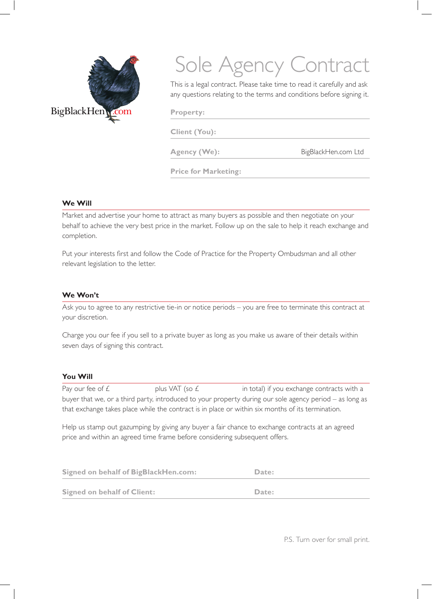

# Sole Agency Contract

This is a legal contract. Please take time to read it carefully and ask any questions relating to the terms and conditions before signing it.

**Property:** 

**Client (You):**

Agency (We): BigBlackHen.com Ltd

**Price for Marketing:**

### **We Will**

Market and advertise your home to attract as many buyers as possible and then negotiate on your behalf to achieve the very best price in the market. Follow up on the sale to help it reach exchange and completion.

Put your interests first and follow the Code of Practice for the Property Ombudsman and all other relevant legislation to the letter.

## **We Won't**

Ask you to agree to any restrictive tie-in or notice periods – you are free to terminate this contract at your discretion.

Charge you our fee if you sell to a private buyer as long as you make us aware of their details within seven days of signing this contract.

## **You Will**

Pay our fee of  $E$  plus VAT (so  $E$  in total) if you exchange contracts with a buyer that we, or a third party, introduced to your property during our sole agency period – as long as that exchange takes place while the contract is in place or within six months of its termination.

Help us stamp out gazumping by giving any buyer a fair chance to exchange contracts at an agreed price and within an agreed time frame before considering subsequent offers.

| <b>Signed on behalf of BigBlackHen.com:</b> | Date: |
|---------------------------------------------|-------|
| <b>Signed on behalf of Client:</b>          | Date: |

P.S. Turn over for small print.